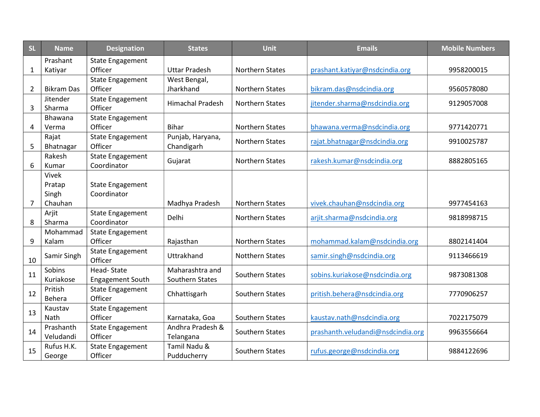| <b>SL</b>      | <b>Name</b>       | <b>Designation</b>      | <b>States</b>           | Unit                   | <b>Emails</b>                     | <b>Mobile Numbers</b> |
|----------------|-------------------|-------------------------|-------------------------|------------------------|-----------------------------------|-----------------------|
|                | Prashant          | <b>State Engagement</b> |                         |                        |                                   |                       |
| $\mathbf{1}$   | Katiyar           | Officer                 | <b>Uttar Pradesh</b>    | <b>Northern States</b> | prashant.katiyar@nsdcindia.org    | 9958200015            |
|                |                   | <b>State Engagement</b> | West Bengal,            |                        |                                   |                       |
| $\overline{2}$ | <b>Bikram Das</b> | Officer                 | Jharkhand               | <b>Northern States</b> | bikram.das@nsdcindia.org          | 9560578080            |
|                | Jitender          | <b>State Engagement</b> | <b>Himachal Pradesh</b> | <b>Northern States</b> | jitender.sharma@nsdcindia.org     | 9129057008            |
| 3              | Sharma            | Officer                 |                         |                        |                                   |                       |
|                | <b>Bhawana</b>    | <b>State Engagement</b> |                         |                        |                                   |                       |
| 4              | Verma             | Officer                 | <b>Bihar</b>            | <b>Northern States</b> | bhawana.verma@nsdcindia.org       | 9771420771            |
|                | Rajat             | <b>State Engagement</b> | Punjab, Haryana,        | <b>Northern States</b> | rajat.bhatnagar@nsdcindia.org     | 9910025787            |
| 5              | Bhatnagar         | Officer                 | Chandigarh              |                        |                                   |                       |
|                | Rakesh            | <b>State Engagement</b> | Gujarat                 | <b>Northern States</b> | rakesh.kumar@nsdcindia.org        | 8882805165            |
| 6              | Kumar             | Coordinator             |                         |                        |                                   |                       |
|                | Vivek             |                         |                         |                        |                                   |                       |
|                | Pratap            | <b>State Engagement</b> |                         |                        |                                   |                       |
|                | Singh             | Coordinator             |                         |                        |                                   |                       |
| $\overline{7}$ | Chauhan           |                         | Madhya Pradesh          | <b>Northern States</b> | vivek.chauhan@nsdcindia.org       | 9977454163            |
|                | Arjit             | <b>State Engagement</b> | Delhi                   | <b>Northern States</b> | arjit.sharma@nsdcindia.org        | 9818998715            |
| 8              | Sharma            | Coordinator             |                         |                        |                                   |                       |
|                | Mohammad          | <b>State Engagement</b> |                         |                        |                                   |                       |
| 9              | Kalam             | Officer                 | Rajasthan               | <b>Northern States</b> | mohammad.kalam@nsdcindia.org      | 8802141404            |
|                | Samir Singh       | <b>State Engagement</b> | Uttrakhand              | <b>Notthern States</b> | samir.singh@nsdcindia.org         | 9113466619            |
| 10             |                   | Officer                 |                         |                        |                                   |                       |
| 11             | Sobins            | <b>Head-State</b>       | Maharashtra and         | Southern States        | sobins.kuriakose@nsdcindia.org    | 9873081308            |
|                | Kuriakose         | <b>Engagement South</b> | Southern States         |                        |                                   |                       |
| 12             | Pritish           | <b>State Engagement</b> | Chhattisgarh            | Southern States        | pritish.behera@nsdcindia.org      | 7770906257            |
|                | Behera            | Officer                 |                         |                        |                                   |                       |
| 13             | Kaustav           | <b>State Engagement</b> |                         |                        |                                   |                       |
|                | Nath              | Officer                 | Karnataka, Goa          | Southern States        | kaustav.nath@nsdcindia.org        | 7022175079            |
| 14             | Prashanth         | <b>State Engagement</b> | Andhra Pradesh &        | Southern States        | prashanth.veludandi@nsdcindia.org | 9963556664            |
|                | Veludandi         | Officer                 | Telangana               |                        |                                   |                       |
| 15             | Rufus H.K.        | <b>State Engagement</b> | Tamil Nadu &            | Southern States        | rufus.george@nsdcindia.org        | 9884122696            |
|                | George            | Officer                 | Pudducherry             |                        |                                   |                       |